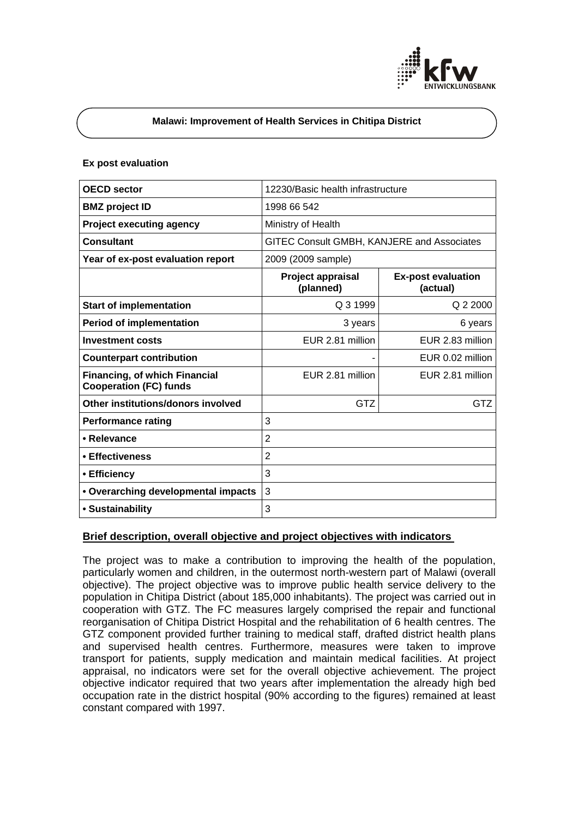

## **Malawi: Improvement of Health Services in Chitipa District**

### **Ex post evaluation**

| <b>OECD</b> sector                                                    | 12230/Basic health infrastructure          |                                       |
|-----------------------------------------------------------------------|--------------------------------------------|---------------------------------------|
| <b>BMZ</b> project ID                                                 | 1998 66 542                                |                                       |
| <b>Project executing agency</b>                                       | Ministry of Health                         |                                       |
| <b>Consultant</b>                                                     | GITEC Consult GMBH, KANJERE and Associates |                                       |
| Year of ex-post evaluation report                                     | 2009 (2009 sample)                         |                                       |
|                                                                       | Project appraisal<br>(planned)             | <b>Ex-post evaluation</b><br>(actual) |
| <b>Start of implementation</b>                                        | Q 3 1999                                   | Q 2 2000                              |
| <b>Period of implementation</b>                                       | 3 years                                    | 6 years                               |
| <b>Investment costs</b>                                               | EUR 2.81 million                           | EUR 2.83 million                      |
| <b>Counterpart contribution</b>                                       |                                            | EUR 0.02 million                      |
| <b>Financing, of which Financial</b><br><b>Cooperation (FC) funds</b> | EUR 2.81 million                           | EUR 2.81 million                      |
| Other institutions/donors involved                                    | GTZ                                        | GTZ                                   |
| <b>Performance rating</b>                                             | 3                                          |                                       |
| • Relevance                                                           | $\overline{2}$                             |                                       |
| • Effectiveness                                                       | $\overline{2}$                             |                                       |
| • Efficiency                                                          | 3                                          |                                       |
| • Overarching developmental impacts                                   | 3                                          |                                       |
| • Sustainability                                                      | 3                                          |                                       |

## **Brief description, overall objective and project objectives with indicators**

The project was to make a contribution to improving the health of the population, particularly women and children, in the outermost north-western part of Malawi (overall objective). The project objective was to improve public health service delivery to the population in Chitipa District (about 185,000 inhabitants). The project was carried out in cooperation with GTZ. The FC measures largely comprised the repair and functional reorganisation of Chitipa District Hospital and the rehabilitation of 6 health centres. The GTZ component provided further training to medical staff, drafted district health plans and supervised health centres. Furthermore, measures were taken to improve transport for patients, supply medication and maintain medical facilities. At project appraisal, no indicators were set for the overall objective achievement. The project objective indicator required that two years after implementation the already high bed occupation rate in the district hospital (90% according to the figures) remained at least constant compared with 1997.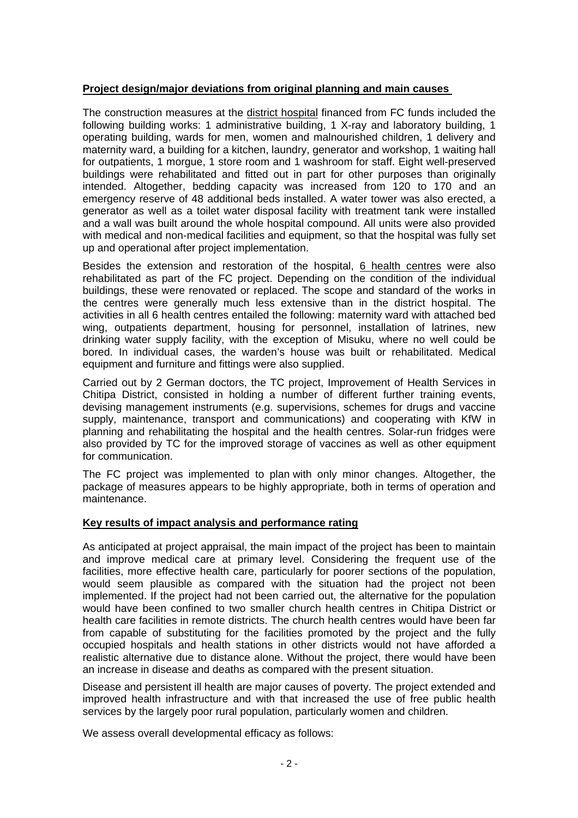# **Project design/major deviations from original planning and main causes**

The construction measures at the district hospital financed from FC funds included the following building works: 1 administrative building, 1 X-ray and laboratory building, 1 operating building, wards for men, women and malnourished children, 1 delivery and maternity ward, a building for a kitchen, laundry, generator and workshop, 1 waiting hall for outpatients, 1 morgue, 1 store room and 1 washroom for staff. Eight well-preserved buildings were rehabilitated and fitted out in part for other purposes than originally intended. Altogether, bedding capacity was increased from 120 to 170 and an emergency reserve of 48 additional beds installed. A water tower was also erected, a generator as well as a toilet water disposal facility with treatment tank were installed and a wall was built around the whole hospital compound. All units were also provided with medical and non-medical facilities and equipment, so that the hospital was fully set up and operational after project implementation.

Besides the extension and restoration of the hospital, 6 health centres were also rehabilitated as part of the FC project. Depending on the condition of the individual buildings, these were renovated or replaced. The scope and standard of the works in the centres were generally much less extensive than in the district hospital. The activities in all 6 health centres entailed the following: maternity ward with attached bed wing, outpatients department, housing for personnel, installation of latrines, new drinking water supply facility, with the exception of Misuku, where no well could be bored. In individual cases, the warden's house was built or rehabilitated. Medical equipment and furniture and fittings were also supplied.

Carried out by 2 German doctors, the TC project, Improvement of Health Services in Chitipa District, consisted in holding a number of different further training events, devising management instruments (e.g. supervisions, schemes for drugs and vaccine supply, maintenance, transport and communications) and cooperating with KfW in planning and rehabilitating the hospital and the health centres. Solar-run fridges were also provided by TC for the improved storage of vaccines as well as other equipment for communication.

The FC project was implemented to plan with only minor changes. Altogether, the package of measures appears to be highly appropriate, both in terms of operation and maintenance.

## **Key results of impact analysis and performance rating**

As anticipated at project appraisal, the main impact of the project has been to maintain and improve medical care at primary level. Considering the frequent use of the facilities, more effective health care, particularly for poorer sections of the population, would seem plausible as compared with the situation had the project not been implemented. If the project had not been carried out, the alternative for the population would have been confined to two smaller church health centres in Chitipa District or health care facilities in remote districts. The church health centres would have been far from capable of substituting for the facilities promoted by the project and the fully occupied hospitals and health stations in other districts would not have afforded a realistic alternative due to distance alone. Without the project, there would have been an increase in disease and deaths as compared with the present situation.

Disease and persistent ill health are major causes of poverty. The project extended and improved health infrastructure and with that increased the use of free public health services by the largely poor rural population, particularly women and children.

We assess overall developmental efficacy as follows: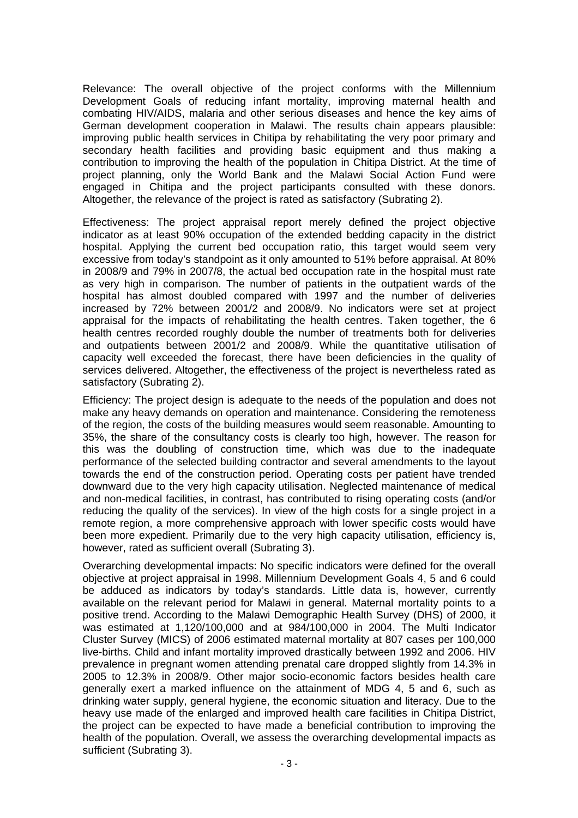Relevance: The overall objective of the project conforms with the Millennium Development Goals of reducing infant mortality, improving maternal health and combating HIV/AIDS, malaria and other serious diseases and hence the key aims of German development cooperation in Malawi. The results chain appears plausible: improving public health services in Chitipa by rehabilitating the very poor primary and secondary health facilities and providing basic equipment and thus making a contribution to improving the health of the population in Chitipa District. At the time of project planning, only the World Bank and the Malawi Social Action Fund were engaged in Chitipa and the project participants consulted with these donors. Altogether, the relevance of the project is rated as satisfactory (Subrating 2).

Effectiveness: The project appraisal report merely defined the project objective indicator as at least 90% occupation of the extended bedding capacity in the district hospital. Applying the current bed occupation ratio, this target would seem very excessive from today's standpoint as it only amounted to 51% before appraisal. At 80% in 2008/9 and 79% in 2007/8, the actual bed occupation rate in the hospital must rate as very high in comparison. The number of patients in the outpatient wards of the hospital has almost doubled compared with 1997 and the number of deliveries increased by 72% between 2001/2 and 2008/9. No indicators were set at project appraisal for the impacts of rehabilitating the health centres. Taken together, the 6 health centres recorded roughly double the number of treatments both for deliveries and outpatients between 2001/2 and 2008/9. While the quantitative utilisation of capacity well exceeded the forecast, there have been deficiencies in the quality of services delivered. Altogether, the effectiveness of the project is nevertheless rated as satisfactory (Subrating 2).

Efficiency: The project design is adequate to the needs of the population and does not make any heavy demands on operation and maintenance. Considering the remoteness of the region, the costs of the building measures would seem reasonable. Amounting to 35%, the share of the consultancy costs is clearly too high, however. The reason for this was the doubling of construction time, which was due to the inadequate performance of the selected building contractor and several amendments to the layout towards the end of the construction period. Operating costs per patient have trended downward due to the very high capacity utilisation. Neglected maintenance of medical and non-medical facilities, in contrast, has contributed to rising operating costs (and/or reducing the quality of the services). In view of the high costs for a single project in a remote region, a more comprehensive approach with lower specific costs would have been more expedient. Primarily due to the very high capacity utilisation, efficiency is, however, rated as sufficient overall (Subrating 3).

Overarching developmental impacts: No specific indicators were defined for the overall objective at project appraisal in 1998. Millennium Development Goals 4, 5 and 6 could be adduced as indicators by today's standards. Little data is, however, currently available on the relevant period for Malawi in general. Maternal mortality points to a positive trend. According to the Malawi Demographic Health Survey (DHS) of 2000, it was estimated at 1,120/100,000 and at 984/100,000 in 2004. The Multi Indicator Cluster Survey (MICS) of 2006 estimated maternal mortality at 807 cases per 100,000 live-births. Child and infant mortality improved drastically between 1992 and 2006. HIV prevalence in pregnant women attending prenatal care dropped slightly from 14.3% in 2005 to 12.3% in 2008/9. Other major socio-economic factors besides health care generally exert a marked influence on the attainment of MDG 4, 5 and 6, such as drinking water supply, general hygiene, the economic situation and literacy. Due to the heavy use made of the enlarged and improved health care facilities in Chitipa District, the project can be expected to have made a beneficial contribution to improving the health of the population. Overall, we assess the overarching developmental impacts as sufficient (Subrating 3).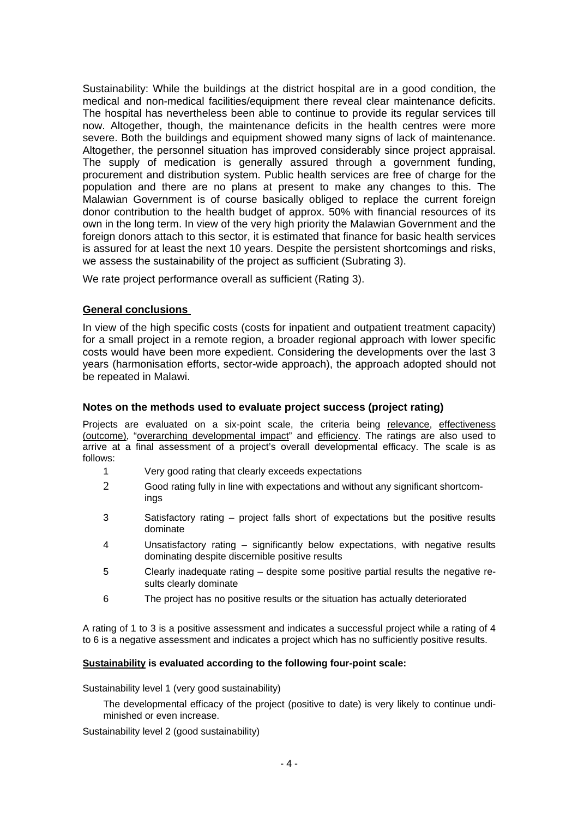Sustainability: While the buildings at the district hospital are in a good condition, the medical and non-medical facilities/equipment there reveal clear maintenance deficits. The hospital has nevertheless been able to continue to provide its regular services till now. Altogether, though, the maintenance deficits in the health centres were more severe. Both the buildings and equipment showed many signs of lack of maintenance. Altogether, the personnel situation has improved considerably since project appraisal. The supply of medication is generally assured through a government funding, procurement and distribution system. Public health services are free of charge for the population and there are no plans at present to make any changes to this. The Malawian Government is of course basically obliged to replace the current foreign donor contribution to the health budget of approx. 50% with financial resources of its own in the long term. In view of the very high priority the Malawian Government and the foreign donors attach to this sector, it is estimated that finance for basic health services is assured for at least the next 10 years. Despite the persistent shortcomings and risks, we assess the sustainability of the project as sufficient (Subrating 3).

We rate project performance overall as sufficient (Rating 3).

## **General conclusions**

In view of the high specific costs (costs for inpatient and outpatient treatment capacity) for a small project in a remote region, a broader regional approach with lower specific costs would have been more expedient. Considering the developments over the last 3 years (harmonisation efforts, sector-wide approach), the approach adopted should not be repeated in Malawi.

# **Notes on the methods used to evaluate project success (project rating)**

Projects are evaluated on a six-point scale, the criteria being relevance, effectiveness (outcome), "overarching developmental impact" and efficiency. The ratings are also used to arrive at a final assessment of a project's overall developmental efficacy. The scale is as follows:

- 1 Very good rating that clearly exceeds expectations
- 2 Good rating fully in line with expectations and without any significant shortcomings
- 3 Satisfactory rating project falls short of expectations but the positive results dominate
- 4 Unsatisfactory rating significantly below expectations, with negative results dominating despite discernible positive results
- 5 Clearly inadequate rating despite some positive partial results the negative results clearly dominate
- 6 The project has no positive results or the situation has actually deteriorated

A rating of 1 to 3 is a positive assessment and indicates a successful project while a rating of 4 to 6 is a negative assessment and indicates a project which has no sufficiently positive results.

## **Sustainability is evaluated according to the following four-point scale:**

Sustainability level 1 (very good sustainability)

The developmental efficacy of the project (positive to date) is very likely to continue undiminished or even increase.

Sustainability level 2 (good sustainability)